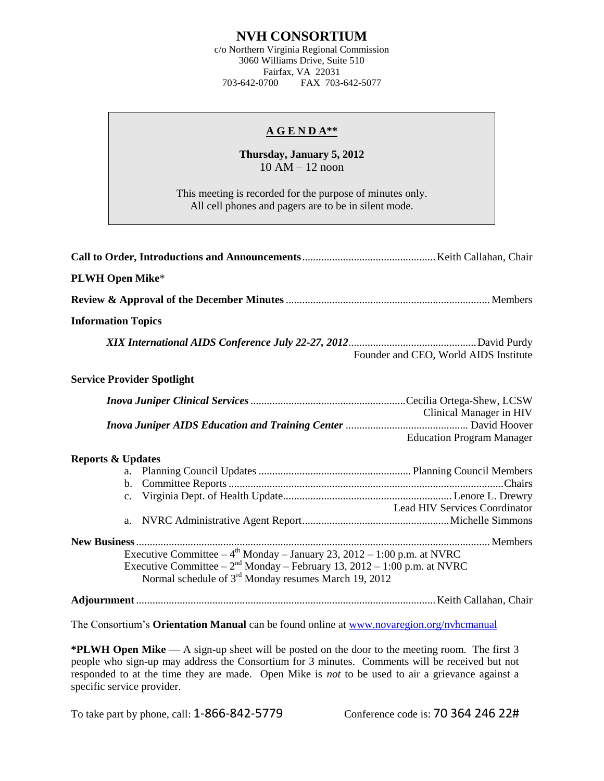## **NVH CONSORTIUM**

c/o Northern Virginia Regional Commission 3060 Williams Drive, Suite 510 Fairfax, VA 22031 703-642-0700 FAX 703-642-5077

## **A G E N D A\*\***

## **Thursday, January 5, 2012**  $10$  AM  $- 12$  noon

This meeting is recorded for the purpose of minutes only. All cell phones and pagers are to be in silent mode.

| <b>PLWH Open Mike*</b>            |                                                                                                                                                                                                                                              |                                                             |
|-----------------------------------|----------------------------------------------------------------------------------------------------------------------------------------------------------------------------------------------------------------------------------------------|-------------------------------------------------------------|
|                                   |                                                                                                                                                                                                                                              |                                                             |
| <b>Information Topics</b>         |                                                                                                                                                                                                                                              |                                                             |
|                                   |                                                                                                                                                                                                                                              | Founder and CEO, World AIDS Institute                       |
| <b>Service Provider Spotlight</b> |                                                                                                                                                                                                                                              |                                                             |
|                                   |                                                                                                                                                                                                                                              | Clinical Manager in HIV<br><b>Education Program Manager</b> |
| <b>Reports &amp; Updates</b>      |                                                                                                                                                                                                                                              | <b>Lead HIV Services Coordinator</b>                        |
|                                   | Executive Committee $-4$ <sup>th</sup> Monday $-$ January 23, 2012 $-$ 1:00 p.m. at NVRC<br>Executive Committee $-2^{nd}$ Monday – February 13, 2012 – 1:00 p.m. at NVRC<br>Normal schedule of 3 <sup>rd</sup> Monday resumes March 19, 2012 |                                                             |
|                                   |                                                                                                                                                                                                                                              |                                                             |
|                                   | The Consortium's <b>Orientation Manual</b> can be found online at www.novaregion.org/nyhcmanual                                                                                                                                              |                                                             |

**\*PLWH Open Mike** — A sign-up sheet will be posted on the door to the meeting room. The first 3 people who sign-up may address the Consortium for 3 minutes. Comments will be received but not responded to at the time they are made. Open Mike is *not* to be used to air a grievance against a specific service provider.

To take part by phone, call: 1-866-842-5779 Conference code is: 70 364 246 22#